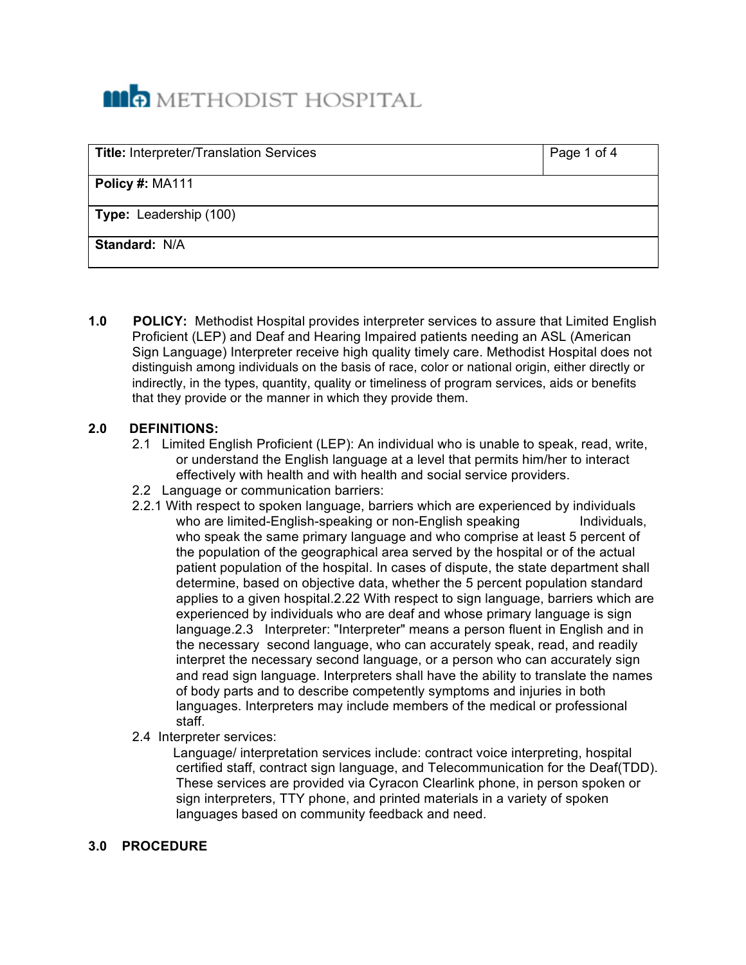# **MO** METHODIST HOSPITAL

| <b>Title: Interpreter/Translation Services</b> | Page 1 of 4 |
|------------------------------------------------|-------------|
| Policy #: MA111                                |             |
| <b>Type: Leadership (100)</b>                  |             |
| Standard: N/A                                  |             |

**1.0 POLICY:** Methodist Hospital provides interpreter services to assure that Limited English Proficient (LEP) and Deaf and Hearing Impaired patients needing an ASL (American Sign Language) Interpreter receive high quality timely care. Methodist Hospital does not distinguish among individuals on the basis of race, color or national origin, either directly or indirectly, in the types, quantity, quality or timeliness of program services, aids or benefits that they provide or the manner in which they provide them.

## **2.0 DEFINITIONS:**

- 2.1 Limited English Proficient (LEP): An individual who is unable to speak, read, write, or understand the English language at a level that permits him/her to interact effectively with health and with health and social service providers.
- 2.2 Language or communication barriers:
- 2.2.1 With respect to spoken language, barriers which are experienced by individuals who are limited-English-speaking or non-English speaking **Individuals**, who speak the same primary language and who comprise at least 5 percent of the population of the geographical area served by the hospital or of the actual patient population of the hospital. In cases of dispute, the state department shall determine, based on objective data, whether the 5 percent population standard applies to a given hospital.2.22 With respect to sign language, barriers which are experienced by individuals who are deaf and whose primary language is sign language.2.3 Interpreter: "Interpreter" means a person fluent in English and in the necessary second language, who can accurately speak, read, and readily interpret the necessary second language, or a person who can accurately sign and read sign language. Interpreters shall have the ability to translate the names of body parts and to describe competently symptoms and injuries in both languages. Interpreters may include members of the medical or professional staff.
- 2.4 Interpreter services:

 Language/ interpretation services include: contract voice interpreting, hospital certified staff, contract sign language, and Telecommunication for the Deaf(TDD). These services are provided via Cyracon Clearlink phone, in person spoken or sign interpreters, TTY phone, and printed materials in a variety of spoken languages based on community feedback and need.

## **3.0 PROCEDURE**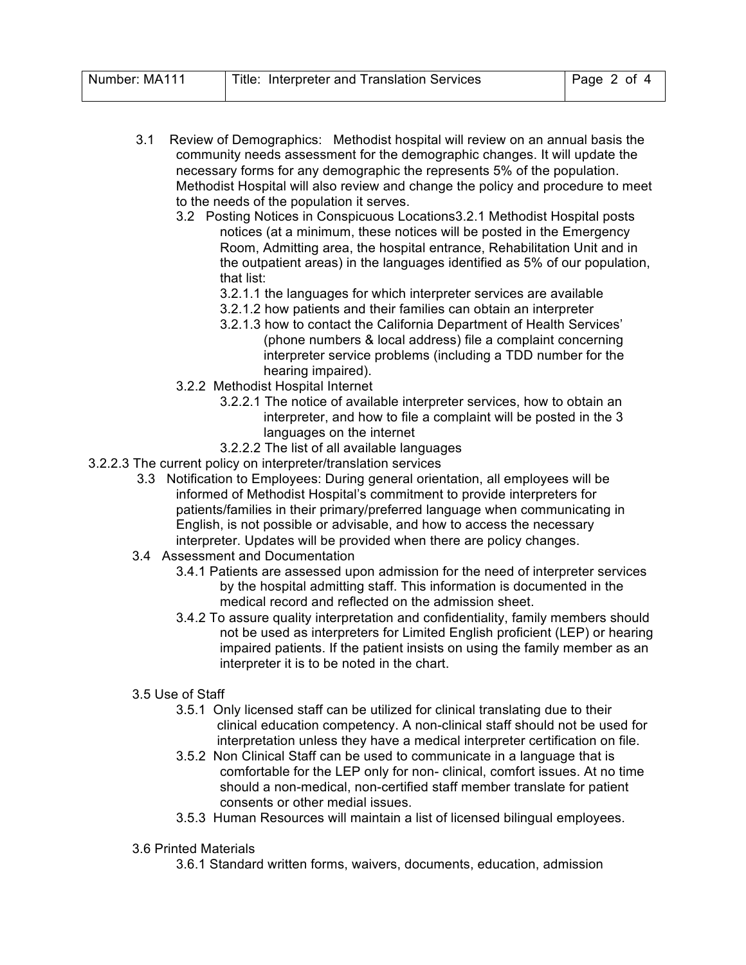- 3.1 Review of Demographics: Methodist hospital will review on an annual basis the community needs assessment for the demographic changes. It will update the necessary forms for any demographic the represents 5% of the population. Methodist Hospital will also review and change the policy and procedure to meet to the needs of the population it serves.
	- 3.2 Posting Notices in Conspicuous Locations3.2.1 Methodist Hospital posts notices (at a minimum, these notices will be posted in the Emergency Room, Admitting area, the hospital entrance, Rehabilitation Unit and in the outpatient areas) in the languages identified as 5% of our population, that list:
		- 3.2.1.1 the languages for which interpreter services are available
		- 3.2.1.2 how patients and their families can obtain an interpreter
		- 3.2.1.3 how to contact the California Department of Health Services' (phone numbers & local address) file a complaint concerning interpreter service problems (including a TDD number for the hearing impaired).
	- 3.2.2 Methodist Hospital Internet
		- 3.2.2.1 The notice of available interpreter services, how to obtain an interpreter, and how to file a complaint will be posted in the 3 languages on the internet
		- 3.2.2.2 The list of all available languages
- 3.2.2.3 The current policy on interpreter/translation services
	- 3.3 Notification to Employees: During general orientation, all employees will be informed of Methodist Hospital's commitment to provide interpreters for patients/families in their primary/preferred language when communicating in English, is not possible or advisable, and how to access the necessary interpreter. Updates will be provided when there are policy changes.
	- 3.4 Assessment and Documentation
		- 3.4.1 Patients are assessed upon admission for the need of interpreter services by the hospital admitting staff. This information is documented in the medical record and reflected on the admission sheet.
		- 3.4.2 To assure quality interpretation and confidentiality, family members should not be used as interpreters for Limited English proficient (LEP) or hearing impaired patients. If the patient insists on using the family member as an interpreter it is to be noted in the chart.

#### 3.5 Use of Staff

- 3.5.1 Only licensed staff can be utilized for clinical translating due to their clinical education competency. A non-clinical staff should not be used for interpretation unless they have a medical interpreter certification on file.
- 3.5.2 Non Clinical Staff can be used to communicate in a language that is comfortable for the LEP only for non- clinical, comfort issues. At no time should a non-medical, non-certified staff member translate for patient consents or other medial issues.
- 3.5.3 Human Resources will maintain a list of licensed bilingual employees.
- 3.6 Printed Materials
	- 3.6.1 Standard written forms, waivers, documents, education, admission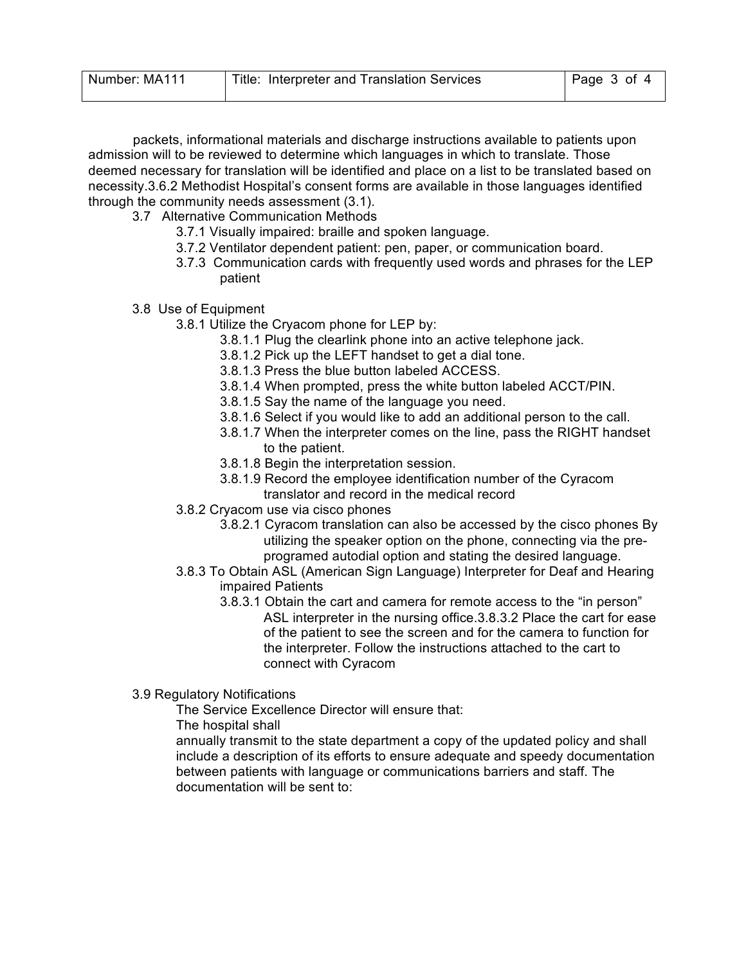| Number: MA111 | Title: Interpreter and Translation Services | $\vert$ Page 3 of 4 |
|---------------|---------------------------------------------|---------------------|
|               |                                             |                     |

 packets, informational materials and discharge instructions available to patients upon admission will to be reviewed to determine which languages in which to translate. Those deemed necessary for translation will be identified and place on a list to be translated based on necessity.3.6.2 Methodist Hospital's consent forms are available in those languages identified through the community needs assessment (3.1).

- 3.7 Alternative Communication Methods
	- 3.7.1 Visually impaired: braille and spoken language.
	- 3.7.2 Ventilator dependent patient: pen, paper, or communication board.
	- 3.7.3 Communication cards with frequently used words and phrases for the LEP patient
- 3.8 Use of Equipment
	- 3.8.1 Utilize the Cryacom phone for LEP by:
		- 3.8.1.1 Plug the clearlink phone into an active telephone jack.
		- 3.8.1.2 Pick up the LEFT handset to get a dial tone.
		- 3.8.1.3 Press the blue button labeled ACCESS.
		- 3.8.1.4 When prompted, press the white button labeled ACCT/PIN.
		- 3.8.1.5 Say the name of the language you need.
		- 3.8.1.6 Select if you would like to add an additional person to the call.
		- 3.8.1.7 When the interpreter comes on the line, pass the RIGHT handset to the patient.
		- 3.8.1.8 Begin the interpretation session.
		- 3.8.1.9 Record the employee identification number of the Cyracom translator and record in the medical record
	- 3.8.2 Cryacom use via cisco phones
		- 3.8.2.1 Cyracom translation can also be accessed by the cisco phones By utilizing the speaker option on the phone, connecting via the preprogramed autodial option and stating the desired language.
	- 3.8.3 To Obtain ASL (American Sign Language) Interpreter for Deaf and Hearing impaired Patients
		- 3.8.3.1 Obtain the cart and camera for remote access to the "in person" ASL interpreter in the nursing office.3.8.3.2 Place the cart for ease of the patient to see the screen and for the camera to function for the interpreter. Follow the instructions attached to the cart to connect with Cyracom
- 3.9 Regulatory Notifications

The Service Excellence Director will ensure that:

The hospital shall

annually transmit to the state department a copy of the updated policy and shall include a description of its efforts to ensure adequate and speedy documentation between patients with language or communications barriers and staff. The documentation will be sent to: